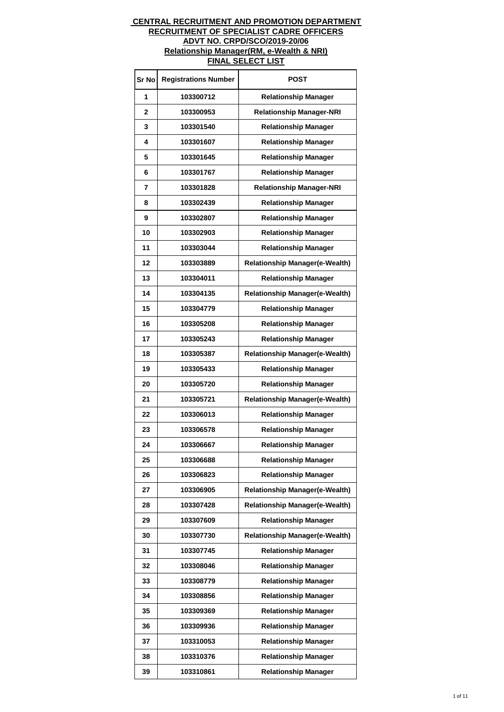| Sr No        | <b>Registrations Number</b> | POST                                  |
|--------------|-----------------------------|---------------------------------------|
| 1            | 103300712                   | <b>Relationship Manager</b>           |
| $\mathbf{2}$ | 103300953                   | <b>Relationship Manager-NRI</b>       |
| 3            | 103301540                   | <b>Relationship Manager</b>           |
| 4            | 103301607                   | <b>Relationship Manager</b>           |
| 5            | 103301645                   | <b>Relationship Manager</b>           |
| 6            | 103301767                   | <b>Relationship Manager</b>           |
| 7            | 103301828                   | <b>Relationship Manager-NRI</b>       |
| 8            | 103302439                   | <b>Relationship Manager</b>           |
| 9            | 103302807                   | <b>Relationship Manager</b>           |
| 10           | 103302903                   | <b>Relationship Manager</b>           |
| 11           | 103303044                   | <b>Relationship Manager</b>           |
| 12           | 103303889                   | <b>Relationship Manager(e-Wealth)</b> |
| 13           | 103304011                   | <b>Relationship Manager</b>           |
| 14           | 103304135                   | <b>Relationship Manager(e-Wealth)</b> |
| 15           | 103304779                   | <b>Relationship Manager</b>           |
| 16           | 103305208                   | <b>Relationship Manager</b>           |
| 17           | 103305243                   | <b>Relationship Manager</b>           |
| 18           | 103305387                   | <b>Relationship Manager(e-Wealth)</b> |
| 19           | 103305433                   | <b>Relationship Manager</b>           |
| 20           | 103305720                   | <b>Relationship Manager</b>           |
| 21           | 103305721                   | <b>Relationship Manager(e-Wealth)</b> |
| 22           | 103306013                   | <b>Relationship Manager</b>           |
| 23           | 103306578                   | <b>Relationship Manager</b>           |
| 24           | 103306667                   | <b>Relationship Manager</b>           |
| 25           | 103306688                   | <b>Relationship Manager</b>           |
| 26           | 103306823                   | <b>Relationship Manager</b>           |
| 27           | 103306905                   | <b>Relationship Manager(e-Wealth)</b> |
| 28           | 103307428                   | <b>Relationship Manager(e-Wealth)</b> |
| 29           | 103307609                   | <b>Relationship Manager</b>           |
| 30           | 103307730                   | <b>Relationship Manager(e-Wealth)</b> |
| 31           | 103307745                   | <b>Relationship Manager</b>           |
| 32           | 103308046                   | <b>Relationship Manager</b>           |
| 33           | 103308779                   | <b>Relationship Manager</b>           |
| 34           | 103308856                   | <b>Relationship Manager</b>           |
| 35           | 103309369                   | <b>Relationship Manager</b>           |
| 36           | 103309936                   | <b>Relationship Manager</b>           |
| 37           | 103310053                   | <b>Relationship Manager</b>           |
| 38           | 103310376                   | <b>Relationship Manager</b>           |
| 39           | 103310861                   | <b>Relationship Manager</b>           |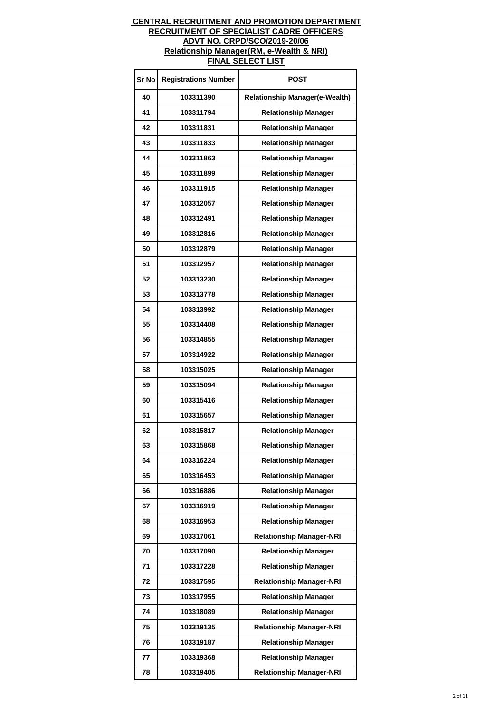| Sr No | <b>Registrations Number</b> | <b>POST</b>                           |
|-------|-----------------------------|---------------------------------------|
| 40    | 103311390                   | <b>Relationship Manager(e-Wealth)</b> |
| 41    | 103311794                   | <b>Relationship Manager</b>           |
| 42    | 103311831                   | <b>Relationship Manager</b>           |
| 43    | 103311833                   | <b>Relationship Manager</b>           |
| 44    | 103311863                   | <b>Relationship Manager</b>           |
| 45    | 103311899                   | <b>Relationship Manager</b>           |
| 46    | 103311915                   | <b>Relationship Manager</b>           |
| 47    | 103312057                   | <b>Relationship Manager</b>           |
| 48    | 103312491                   | <b>Relationship Manager</b>           |
| 49    | 103312816                   | <b>Relationship Manager</b>           |
| 50    | 103312879                   | <b>Relationship Manager</b>           |
| 51    | 103312957                   | <b>Relationship Manager</b>           |
| 52    | 103313230                   | <b>Relationship Manager</b>           |
| 53    | 103313778                   | <b>Relationship Manager</b>           |
| 54    | 103313992                   | <b>Relationship Manager</b>           |
| 55    | 103314408                   | <b>Relationship Manager</b>           |
| 56    | 103314855                   | <b>Relationship Manager</b>           |
| 57    | 103314922                   | <b>Relationship Manager</b>           |
| 58    | 103315025                   | <b>Relationship Manager</b>           |
| 59    | 103315094                   | <b>Relationship Manager</b>           |
| 60    | 103315416                   | <b>Relationship Manager</b>           |
| 61    | 103315657                   | <b>Relationship Manager</b>           |
| 62    | 103315817                   | <b>Relationship Manager</b>           |
| 63    | 103315868                   | <b>Relationship Manager</b>           |
| 64    | 103316224                   | <b>Relationship Manager</b>           |
| 65    | 103316453                   | <b>Relationship Manager</b>           |
| 66    | 103316886                   | <b>Relationship Manager</b>           |
| 67    | 103316919                   | <b>Relationship Manager</b>           |
| 68    | 103316953                   | <b>Relationship Manager</b>           |
| 69    | 103317061                   | <b>Relationship Manager-NRI</b>       |
| 70    | 103317090                   | <b>Relationship Manager</b>           |
| 71    | 103317228                   | <b>Relationship Manager</b>           |
| 72    | 103317595                   | <b>Relationship Manager-NRI</b>       |
| 73    | 103317955                   | <b>Relationship Manager</b>           |
| 74    | 103318089                   | <b>Relationship Manager</b>           |
| 75    | 103319135                   | <b>Relationship Manager-NRI</b>       |
| 76    | 103319187                   | <b>Relationship Manager</b>           |
| 77    | 103319368                   | <b>Relationship Manager</b>           |
| 78    | 103319405                   | <b>Relationship Manager-NRI</b>       |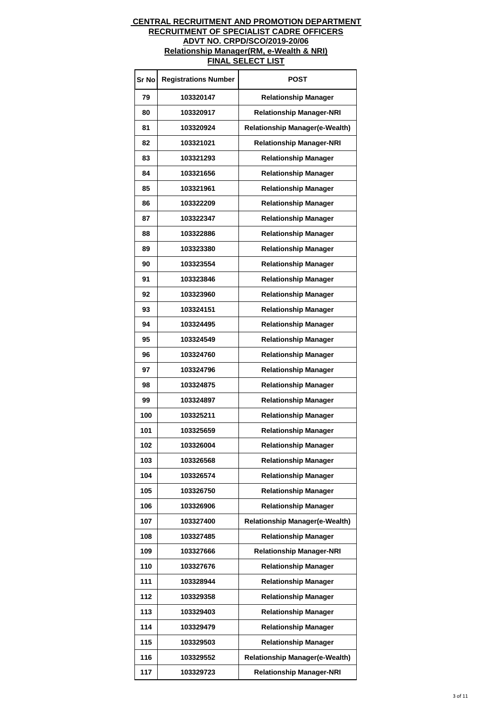| Sr No | <b>Registrations Number</b> | <b>POST</b>                           |
|-------|-----------------------------|---------------------------------------|
| 79    | 103320147                   | <b>Relationship Manager</b>           |
| 80    | 103320917                   | <b>Relationship Manager-NRI</b>       |
| 81    | 103320924                   | <b>Relationship Manager(e-Wealth)</b> |
| 82    | 103321021                   | <b>Relationship Manager-NRI</b>       |
| 83    | 103321293                   | <b>Relationship Manager</b>           |
| 84    | 103321656                   | <b>Relationship Manager</b>           |
| 85    | 103321961                   | <b>Relationship Manager</b>           |
| 86    | 103322209                   | <b>Relationship Manager</b>           |
| 87    | 103322347                   | <b>Relationship Manager</b>           |
| 88    | 103322886                   | <b>Relationship Manager</b>           |
| 89    | 103323380                   | <b>Relationship Manager</b>           |
| 90    | 103323554                   | <b>Relationship Manager</b>           |
| 91    | 103323846                   | <b>Relationship Manager</b>           |
| 92    | 103323960                   | <b>Relationship Manager</b>           |
| 93    | 103324151                   | <b>Relationship Manager</b>           |
| 94    | 103324495                   | <b>Relationship Manager</b>           |
| 95    | 103324549                   | <b>Relationship Manager</b>           |
| 96    | 103324760                   | <b>Relationship Manager</b>           |
| 97    | 103324796                   | <b>Relationship Manager</b>           |
| 98    | 103324875                   | <b>Relationship Manager</b>           |
| 99    | 103324897                   | <b>Relationship Manager</b>           |
| 100   | 103325211                   | <b>Relationship Manager</b>           |
| 101   | 103325659                   | <b>Relationship Manager</b>           |
| 102   | 103326004                   | <b>Relationship Manager</b>           |
| 103   | 103326568                   | <b>Relationship Manager</b>           |
| 104   | 103326574                   | <b>Relationship Manager</b>           |
| 105   | 103326750                   | <b>Relationship Manager</b>           |
| 106   | 103326906                   | <b>Relationship Manager</b>           |
| 107   | 103327400                   | <b>Relationship Manager(e-Wealth)</b> |
| 108   | 103327485                   | <b>Relationship Manager</b>           |
| 109   | 103327666                   | <b>Relationship Manager-NRI</b>       |
| 110   | 103327676                   | <b>Relationship Manager</b>           |
| 111   | 103328944                   | <b>Relationship Manager</b>           |
| 112   | 103329358                   | <b>Relationship Manager</b>           |
| 113   | 103329403                   | <b>Relationship Manager</b>           |
| 114   | 103329479                   | <b>Relationship Manager</b>           |
| 115   | 103329503                   | <b>Relationship Manager</b>           |
| 116   | 103329552                   | <b>Relationship Manager(e-Wealth)</b> |
| 117   | 103329723                   | <b>Relationship Manager-NRI</b>       |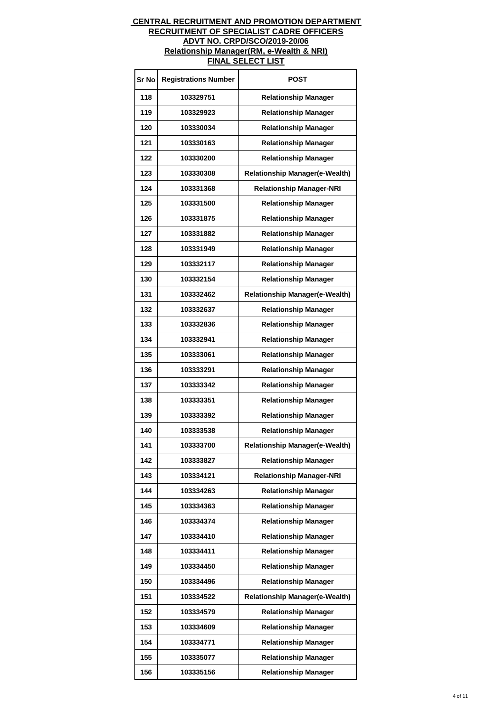| Sr No | <b>Registrations Number</b> | <b>POST</b>                           |
|-------|-----------------------------|---------------------------------------|
| 118   | 103329751                   | <b>Relationship Manager</b>           |
| 119   | 103329923                   | <b>Relationship Manager</b>           |
| 120   | 103330034                   | <b>Relationship Manager</b>           |
| 121   | 103330163                   | <b>Relationship Manager</b>           |
| 122   | 103330200                   | <b>Relationship Manager</b>           |
| 123   | 103330308                   | <b>Relationship Manager(e-Wealth)</b> |
| 124   | 103331368                   | <b>Relationship Manager-NRI</b>       |
| 125   | 103331500                   | <b>Relationship Manager</b>           |
| 126   | 103331875                   | <b>Relationship Manager</b>           |
| 127   | 103331882                   | <b>Relationship Manager</b>           |
| 128   | 103331949                   | <b>Relationship Manager</b>           |
| 129   | 103332117                   | <b>Relationship Manager</b>           |
| 130   | 103332154                   | <b>Relationship Manager</b>           |
| 131   | 103332462                   | <b>Relationship Manager(e-Wealth)</b> |
| 132   | 103332637                   | <b>Relationship Manager</b>           |
| 133   | 103332836                   | <b>Relationship Manager</b>           |
| 134   | 103332941                   | <b>Relationship Manager</b>           |
| 135   | 103333061                   | <b>Relationship Manager</b>           |
| 136   | 103333291                   | <b>Relationship Manager</b>           |
| 137   | 103333342                   | <b>Relationship Manager</b>           |
| 138   | 103333351                   | <b>Relationship Manager</b>           |
| 139   | 103333392                   | <b>Relationship Manager</b>           |
| 140   | 103333538                   | <b>Relationship Manager</b>           |
| 141   | 103333700                   | <b>Relationship Manager(e-Wealth)</b> |
| 142   | 103333827                   | <b>Relationship Manager</b>           |
| 143   | 103334121                   | <b>Relationship Manager-NRI</b>       |
| 144   | 103334263                   | <b>Relationship Manager</b>           |
| 145   | 103334363                   | <b>Relationship Manager</b>           |
| 146   | 103334374                   | <b>Relationship Manager</b>           |
| 147   | 103334410                   | <b>Relationship Manager</b>           |
| 148   | 103334411                   | <b>Relationship Manager</b>           |
| 149   | 103334450                   | <b>Relationship Manager</b>           |
| 150   | 103334496                   | <b>Relationship Manager</b>           |
| 151   | 103334522                   | <b>Relationship Manager(e-Wealth)</b> |
| 152   | 103334579                   | <b>Relationship Manager</b>           |
| 153   | 103334609                   | <b>Relationship Manager</b>           |
| 154   | 103334771                   | <b>Relationship Manager</b>           |
| 155   | 103335077                   | <b>Relationship Manager</b>           |
| 156   | 103335156                   | <b>Relationship Manager</b>           |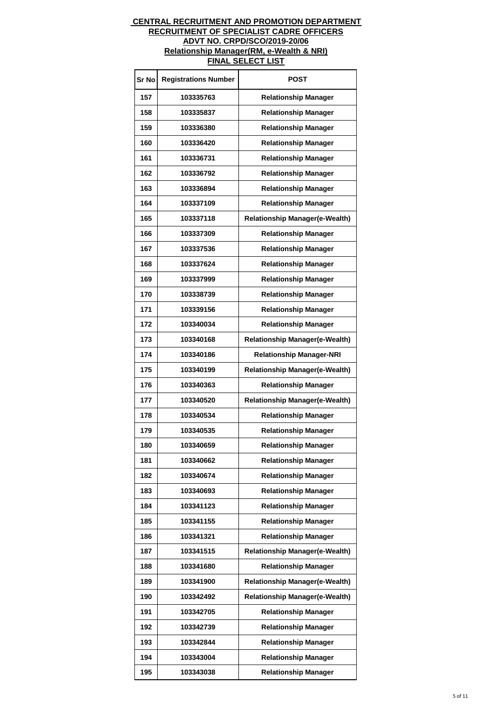| Sr No | <b>Registrations Number</b> | POST                                  |
|-------|-----------------------------|---------------------------------------|
| 157   | 103335763                   | <b>Relationship Manager</b>           |
| 158   | 103335837                   | <b>Relationship Manager</b>           |
| 159   | 103336380                   | <b>Relationship Manager</b>           |
| 160   | 103336420                   | <b>Relationship Manager</b>           |
| 161   | 103336731                   | <b>Relationship Manager</b>           |
| 162   | 103336792                   | <b>Relationship Manager</b>           |
| 163   | 103336894                   | <b>Relationship Manager</b>           |
| 164   | 103337109                   | <b>Relationship Manager</b>           |
| 165   | 103337118                   | <b>Relationship Manager(e-Wealth)</b> |
| 166   | 103337309                   | <b>Relationship Manager</b>           |
| 167   | 103337536                   | <b>Relationship Manager</b>           |
| 168   | 103337624                   | <b>Relationship Manager</b>           |
| 169   | 103337999                   | <b>Relationship Manager</b>           |
| 170   | 103338739                   | <b>Relationship Manager</b>           |
| 171   | 103339156                   | <b>Relationship Manager</b>           |
| 172   | 103340034                   | <b>Relationship Manager</b>           |
| 173   | 103340168                   | <b>Relationship Manager(e-Wealth)</b> |
| 174   | 103340186                   | <b>Relationship Manager-NRI</b>       |
| 175   | 103340199                   | <b>Relationship Manager(e-Wealth)</b> |
| 176   | 103340363                   | <b>Relationship Manager</b>           |
| 177   | 103340520                   | <b>Relationship Manager(e-Wealth)</b> |
| 178   | 103340534                   | <b>Relationship Manager</b>           |
| 179   | 103340535                   | <b>Relationship Manager</b>           |
| 180   | 103340659                   | <b>Relationship Manager</b>           |
| 181   | 103340662                   | <b>Relationship Manager</b>           |
| 182   | 103340674                   | <b>Relationship Manager</b>           |
| 183   | 103340693                   | <b>Relationship Manager</b>           |
| 184   | 103341123                   | <b>Relationship Manager</b>           |
| 185   | 103341155                   | <b>Relationship Manager</b>           |
| 186   | 103341321                   | <b>Relationship Manager</b>           |
| 187   | 103341515                   | <b>Relationship Manager(e-Wealth)</b> |
| 188   | 103341680                   | <b>Relationship Manager</b>           |
| 189   | 103341900                   | <b>Relationship Manager(e-Wealth)</b> |
| 190   | 103342492                   | <b>Relationship Manager(e-Wealth)</b> |
| 191   | 103342705                   | <b>Relationship Manager</b>           |
| 192   | 103342739                   | <b>Relationship Manager</b>           |
| 193   | 103342844                   | <b>Relationship Manager</b>           |
| 194   | 103343004                   | <b>Relationship Manager</b>           |
| 195   | 103343038                   | <b>Relationship Manager</b>           |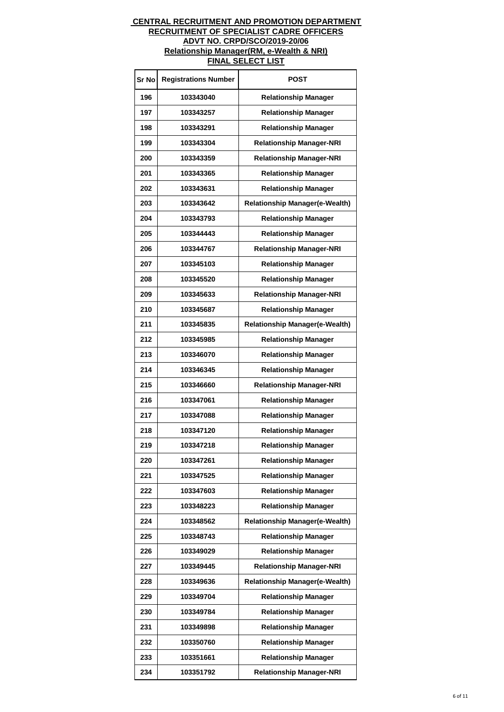| Sr No | <b>Registrations Number</b> | POST                                  |
|-------|-----------------------------|---------------------------------------|
| 196   | 103343040                   | <b>Relationship Manager</b>           |
| 197   | 103343257                   | <b>Relationship Manager</b>           |
| 198   | 103343291                   | <b>Relationship Manager</b>           |
| 199   | 103343304                   | <b>Relationship Manager-NRI</b>       |
| 200   | 103343359                   | <b>Relationship Manager-NRI</b>       |
| 201   | 103343365                   | <b>Relationship Manager</b>           |
| 202   | 103343631                   | <b>Relationship Manager</b>           |
| 203   | 103343642                   | <b>Relationship Manager(e-Wealth)</b> |
| 204   | 103343793                   | <b>Relationship Manager</b>           |
| 205   | 103344443                   | <b>Relationship Manager</b>           |
| 206   | 103344767                   | <b>Relationship Manager-NRI</b>       |
| 207   | 103345103                   | <b>Relationship Manager</b>           |
| 208   | 103345520                   | <b>Relationship Manager</b>           |
| 209   | 103345633                   | <b>Relationship Manager-NRI</b>       |
| 210   | 103345687                   | <b>Relationship Manager</b>           |
| 211   | 103345835                   | <b>Relationship Manager(e-Wealth)</b> |
| 212   | 103345985                   | <b>Relationship Manager</b>           |
| 213   | 103346070                   | <b>Relationship Manager</b>           |
| 214   | 103346345                   | <b>Relationship Manager</b>           |
| 215   | 103346660                   | <b>Relationship Manager-NRI</b>       |
| 216   | 103347061                   | <b>Relationship Manager</b>           |
| 217   | 103347088                   | <b>Relationship Manager</b>           |
| 218   | 103347120                   | <b>Relationship Manager</b>           |
| 219   | 103347218                   | <b>Relationship Manager</b>           |
| 220   | 103347261                   | <b>Relationship Manager</b>           |
| 221   | 103347525                   | <b>Relationship Manager</b>           |
| 222   | 103347603                   | <b>Relationship Manager</b>           |
| 223   | 103348223                   | <b>Relationship Manager</b>           |
| 224   | 103348562                   | <b>Relationship Manager(e-Wealth)</b> |
| 225   | 103348743                   | <b>Relationship Manager</b>           |
| 226   | 103349029                   | <b>Relationship Manager</b>           |
| 227   | 103349445                   | <b>Relationship Manager-NRI</b>       |
| 228   | 103349636                   | <b>Relationship Manager(e-Wealth)</b> |
| 229   | 103349704                   | <b>Relationship Manager</b>           |
| 230   | 103349784                   | <b>Relationship Manager</b>           |
| 231   | 103349898                   | <b>Relationship Manager</b>           |
| 232   | 103350760                   | <b>Relationship Manager</b>           |
| 233   | 103351661                   | <b>Relationship Manager</b>           |
| 234   | 103351792                   | <b>Relationship Manager-NRI</b>       |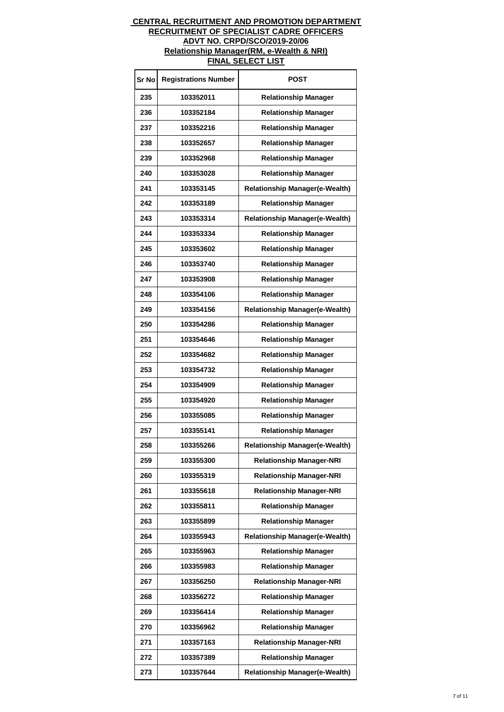| Sr No | <b>Registrations Number</b> | <b>POST</b>                           |
|-------|-----------------------------|---------------------------------------|
| 235   | 103352011                   | <b>Relationship Manager</b>           |
| 236   | 103352184                   | <b>Relationship Manager</b>           |
| 237   | 103352216                   | <b>Relationship Manager</b>           |
| 238   | 103352657                   | <b>Relationship Manager</b>           |
| 239   | 103352968                   | <b>Relationship Manager</b>           |
| 240   | 103353028                   | <b>Relationship Manager</b>           |
| 241   | 103353145                   | <b>Relationship Manager(e-Wealth)</b> |
| 242   | 103353189                   | <b>Relationship Manager</b>           |
| 243   | 103353314                   | <b>Relationship Manager(e-Wealth)</b> |
| 244   | 103353334                   | <b>Relationship Manager</b>           |
| 245   | 103353602                   | <b>Relationship Manager</b>           |
| 246   | 103353740                   | <b>Relationship Manager</b>           |
| 247   | 103353908                   | <b>Relationship Manager</b>           |
| 248   | 103354106                   | <b>Relationship Manager</b>           |
| 249   | 103354156                   | <b>Relationship Manager(e-Wealth)</b> |
| 250   | 103354286                   | <b>Relationship Manager</b>           |
| 251   | 103354646                   | <b>Relationship Manager</b>           |
| 252   | 103354682                   | <b>Relationship Manager</b>           |
| 253   | 103354732                   | <b>Relationship Manager</b>           |
| 254   | 103354909                   | <b>Relationship Manager</b>           |
| 255   | 103354920                   | <b>Relationship Manager</b>           |
| 256   | 103355085                   | <b>Relationship Manager</b>           |
| 257   | 103355141                   | <b>Relationship Manager</b>           |
| 258   | 103355266                   | <b>Relationship Manager(e-Wealth)</b> |
| 259   | 103355300                   | <b>Relationship Manager-NRI</b>       |
| 260   | 103355319                   | <b>Relationship Manager-NRI</b>       |
| 261   | 103355618                   | <b>Relationship Manager-NRI</b>       |
| 262   | 103355811                   | <b>Relationship Manager</b>           |
| 263   | 103355899                   | <b>Relationship Manager</b>           |
| 264   | 103355943                   | <b>Relationship Manager(e-Wealth)</b> |
| 265   | 103355963                   | <b>Relationship Manager</b>           |
| 266   | 103355983                   | <b>Relationship Manager</b>           |
| 267   | 103356250                   | <b>Relationship Manager-NRI</b>       |
| 268   | 103356272                   | <b>Relationship Manager</b>           |
| 269   | 103356414                   | <b>Relationship Manager</b>           |
| 270   | 103356962                   | <b>Relationship Manager</b>           |
| 271   | 103357163                   | <b>Relationship Manager-NRI</b>       |
| 272   | 103357389                   | <b>Relationship Manager</b>           |
| 273   | 103357644                   | <b>Relationship Manager(e-Wealth)</b> |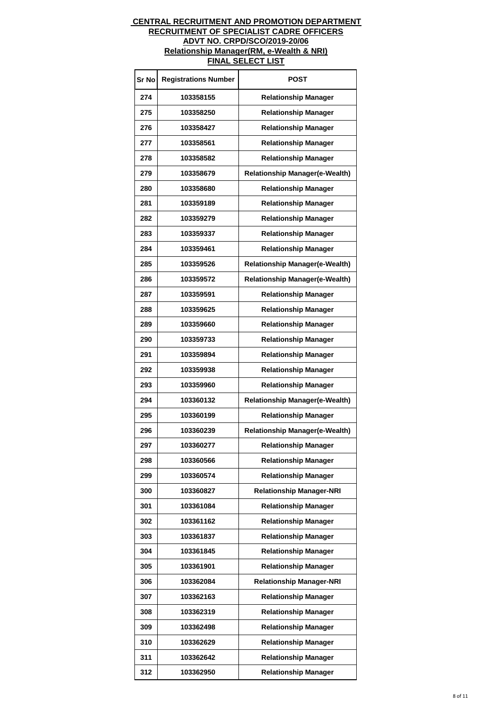| Sr No | <b>Registrations Number</b> | POST                                  |
|-------|-----------------------------|---------------------------------------|
| 274   | 103358155                   | <b>Relationship Manager</b>           |
| 275   | 103358250                   | <b>Relationship Manager</b>           |
| 276   | 103358427                   | <b>Relationship Manager</b>           |
| 277   | 103358561                   | <b>Relationship Manager</b>           |
| 278   | 103358582                   | <b>Relationship Manager</b>           |
| 279   | 103358679                   | <b>Relationship Manager(e-Wealth)</b> |
| 280   | 103358680                   | <b>Relationship Manager</b>           |
| 281   | 103359189                   | <b>Relationship Manager</b>           |
| 282   | 103359279                   | <b>Relationship Manager</b>           |
| 283   | 103359337                   | <b>Relationship Manager</b>           |
| 284   | 103359461                   | <b>Relationship Manager</b>           |
| 285   | 103359526                   | <b>Relationship Manager(e-Wealth)</b> |
| 286   | 103359572                   | <b>Relationship Manager(e-Wealth)</b> |
| 287   | 103359591                   | <b>Relationship Manager</b>           |
| 288   | 103359625                   | <b>Relationship Manager</b>           |
| 289   | 103359660                   | <b>Relationship Manager</b>           |
| 290   | 103359733                   | <b>Relationship Manager</b>           |
| 291   | 103359894                   | <b>Relationship Manager</b>           |
| 292   | 103359938                   | <b>Relationship Manager</b>           |
| 293   | 103359960                   | <b>Relationship Manager</b>           |
| 294   | 103360132                   | <b>Relationship Manager(e-Wealth)</b> |
| 295   | 103360199                   | <b>Relationship Manager</b>           |
| 296   | 103360239                   | <b>Relationship Manager(e-Wealth)</b> |
| 297   | 103360277                   | <b>Relationship Manager</b>           |
| 298   | 103360566                   | <b>Relationship Manager</b>           |
| 299   | 103360574                   | <b>Relationship Manager</b>           |
| 300   | 103360827                   | <b>Relationship Manager-NRI</b>       |
| 301   | 103361084                   | <b>Relationship Manager</b>           |
| 302   | 103361162                   | <b>Relationship Manager</b>           |
| 303   | 103361837                   | <b>Relationship Manager</b>           |
| 304   | 103361845                   | <b>Relationship Manager</b>           |
| 305   | 103361901                   | <b>Relationship Manager</b>           |
| 306   | 103362084                   | <b>Relationship Manager-NRI</b>       |
| 307   | 103362163                   | <b>Relationship Manager</b>           |
| 308   | 103362319                   | <b>Relationship Manager</b>           |
| 309   | 103362498                   | <b>Relationship Manager</b>           |
| 310   | 103362629                   | <b>Relationship Manager</b>           |
| 311   | 103362642                   | <b>Relationship Manager</b>           |
| 312   | 103362950                   | <b>Relationship Manager</b>           |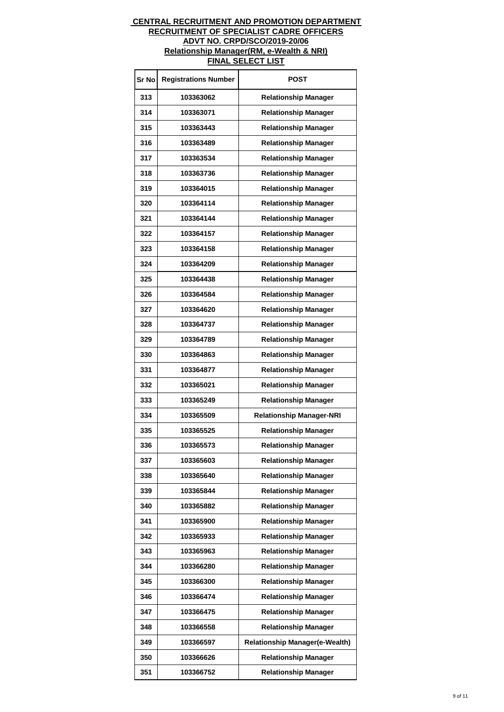| Sr No | <b>Registrations Number</b> | POST                                  |
|-------|-----------------------------|---------------------------------------|
| 313   | 103363062                   | <b>Relationship Manager</b>           |
| 314   | 103363071                   | <b>Relationship Manager</b>           |
| 315   | 103363443                   | <b>Relationship Manager</b>           |
| 316   | 103363489                   | <b>Relationship Manager</b>           |
| 317   | 103363534                   | <b>Relationship Manager</b>           |
| 318   | 103363736                   | <b>Relationship Manager</b>           |
| 319   | 103364015                   | <b>Relationship Manager</b>           |
| 320   | 103364114                   | <b>Relationship Manager</b>           |
| 321   | 103364144                   | <b>Relationship Manager</b>           |
| 322   | 103364157                   | <b>Relationship Manager</b>           |
| 323   | 103364158                   | <b>Relationship Manager</b>           |
| 324   | 103364209                   | <b>Relationship Manager</b>           |
| 325   | 103364438                   | <b>Relationship Manager</b>           |
| 326   | 103364584                   | <b>Relationship Manager</b>           |
| 327   | 103364620                   | <b>Relationship Manager</b>           |
| 328   | 103364737                   | <b>Relationship Manager</b>           |
| 329   | 103364789                   | <b>Relationship Manager</b>           |
| 330   | 103364863                   | <b>Relationship Manager</b>           |
| 331   | 103364877                   | <b>Relationship Manager</b>           |
| 332   | 103365021                   | <b>Relationship Manager</b>           |
| 333   | 103365249                   | <b>Relationship Manager</b>           |
| 334   | 103365509                   | <b>Relationship Manager-NRI</b>       |
| 335   | 103365525                   | <b>Relationship Manager</b>           |
| 336   | 103365573                   | <b>Relationship Manager</b>           |
| 337   | 103365603                   | <b>Relationship Manager</b>           |
| 338   | 103365640                   | <b>Relationship Manager</b>           |
| 339   | 103365844                   | <b>Relationship Manager</b>           |
| 340   | 103365882                   | <b>Relationship Manager</b>           |
| 341   | 103365900                   | <b>Relationship Manager</b>           |
| 342   | 103365933                   | <b>Relationship Manager</b>           |
| 343   | 103365963                   | <b>Relationship Manager</b>           |
| 344   | 103366280                   | <b>Relationship Manager</b>           |
| 345   | 103366300                   | <b>Relationship Manager</b>           |
| 346   | 103366474                   | <b>Relationship Manager</b>           |
| 347   | 103366475                   | <b>Relationship Manager</b>           |
| 348   | 103366558                   | <b>Relationship Manager</b>           |
| 349   | 103366597                   | <b>Relationship Manager(e-Wealth)</b> |
| 350   | 103366626                   | <b>Relationship Manager</b>           |
| 351   | 103366752                   | <b>Relationship Manager</b>           |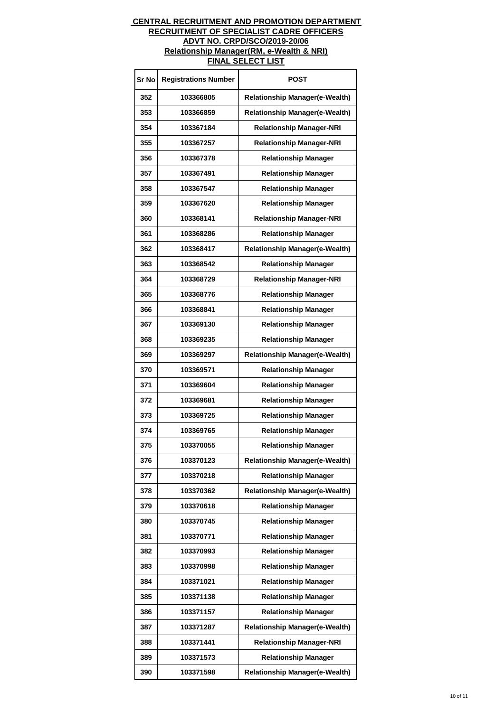| Sr No | <b>Registrations Number</b> | POST                                  |
|-------|-----------------------------|---------------------------------------|
| 352   | 103366805                   | <b>Relationship Manager(e-Wealth)</b> |
| 353   | 103366859                   | <b>Relationship Manager(e-Wealth)</b> |
| 354   | 103367184                   | <b>Relationship Manager-NRI</b>       |
| 355   | 103367257                   | <b>Relationship Manager-NRI</b>       |
| 356   | 103367378                   | <b>Relationship Manager</b>           |
| 357   | 103367491                   | <b>Relationship Manager</b>           |
| 358   | 103367547                   | <b>Relationship Manager</b>           |
| 359   | 103367620                   | <b>Relationship Manager</b>           |
| 360   | 103368141                   | <b>Relationship Manager-NRI</b>       |
| 361   | 103368286                   | <b>Relationship Manager</b>           |
| 362   | 103368417                   | <b>Relationship Manager(e-Wealth)</b> |
| 363   | 103368542                   | <b>Relationship Manager</b>           |
| 364   | 103368729                   | <b>Relationship Manager-NRI</b>       |
| 365   | 103368776                   | <b>Relationship Manager</b>           |
| 366   | 103368841                   | <b>Relationship Manager</b>           |
| 367   | 103369130                   | <b>Relationship Manager</b>           |
| 368   | 103369235                   | <b>Relationship Manager</b>           |
| 369   | 103369297                   | <b>Relationship Manager(e-Wealth)</b> |
| 370   | 103369571                   | <b>Relationship Manager</b>           |
| 371   | 103369604                   | <b>Relationship Manager</b>           |
| 372   | 103369681                   | <b>Relationship Manager</b>           |
| 373   | 103369725                   | <b>Relationship Manager</b>           |
| 374   | 103369765                   | <b>Relationship Manager</b>           |
| 375   | 103370055                   | <b>Relationship Manager</b>           |
| 376   | 103370123                   | <b>Relationship Manager(e-Wealth)</b> |
| 377   | 103370218                   | <b>Relationship Manager</b>           |
| 378   | 103370362                   | <b>Relationship Manager(e-Wealth)</b> |
| 379   | 103370618                   | <b>Relationship Manager</b>           |
| 380   | 103370745                   | <b>Relationship Manager</b>           |
| 381   | 103370771                   | <b>Relationship Manager</b>           |
| 382   | 103370993                   | <b>Relationship Manager</b>           |
| 383   | 103370998                   | <b>Relationship Manager</b>           |
| 384   | 103371021                   | <b>Relationship Manager</b>           |
| 385   | 103371138                   | <b>Relationship Manager</b>           |
| 386   | 103371157                   | <b>Relationship Manager</b>           |
| 387   | 103371287                   | <b>Relationship Manager(e-Wealth)</b> |
| 388   | 103371441                   | <b>Relationship Manager-NRI</b>       |
| 389   | 103371573                   | <b>Relationship Manager</b>           |
| 390   | 103371598                   | <b>Relationship Manager(e-Wealth)</b> |